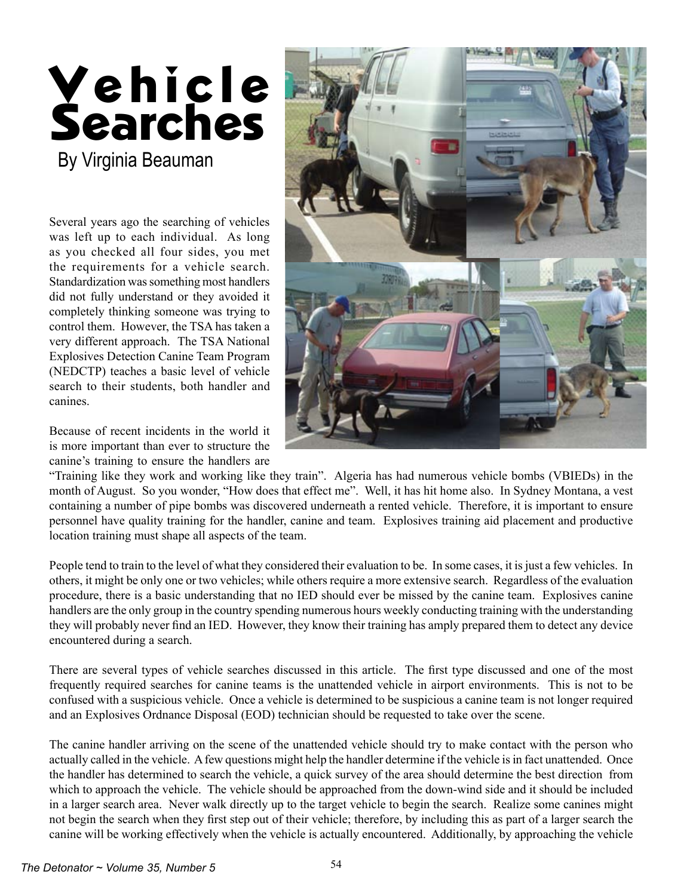

Several years ago the searching of vehicles was left up to each individual. As long as you checked all four sides, you met the requirements for a vehicle search. Standardization was something most handlers did not fully understand or they avoided it completely thinking someone was trying to control them. However, the TSA has taken a very different approach. The TSA National Explosives Detection Canine Team Program (NEDCTP) teaches a basic level of vehicle search to their students, both handler and canines.

Because of recent incidents in the world it is more important than ever to structure the canine's training to ensure the handlers are



"Training like they work and working like they train". Algeria has had numerous vehicle bombs (VBIEDs) in the month of August. So you wonder, "How does that effect me". Well, it has hit home also. In Sydney Montana, a vest containing a number of pipe bombs was discovered underneath a rented vehicle. Therefore, it is important to ensure personnel have quality training for the handler, canine and team. Explosives training aid placement and productive location training must shape all aspects of the team.

People tend to train to the level of what they considered their evaluation to be. In some cases, it is just a few vehicles. In others, it might be only one or two vehicles; while others require a more extensive search. Regardless of the evaluation procedure, there is a basic understanding that no IED should ever be missed by the canine team. Explosives canine handlers are the only group in the country spending numerous hours weekly conducting training with the understanding they will probably never find an IED. However, they know their training has amply prepared them to detect any device encountered during a search.

There are several types of vehicle searches discussed in this article. The first type discussed and one of the most frequently required searches for canine teams is the unattended vehicle in airport environments. This is not to be confused with a suspicious vehicle. Once a vehicle is determined to be suspicious a canine team is not longer required and an Explosives Ordnance Disposal (EOD) technician should be requested to take over the scene.

The canine handler arriving on the scene of the unattended vehicle should try to make contact with the person who actually called in the vehicle. A few questions might help the handler determine if the vehicle is in fact unattended. Once the handler has determined to search the vehicle, a quick survey of the area should determine the best direction from which to approach the vehicle. The vehicle should be approached from the down-wind side and it should be included in a larger search area. Never walk directly up to the target vehicle to begin the search. Realize some canines might not begin the search when they first step out of their vehicle; therefore, by including this as part of a larger search the canine will be working effectively when the vehicle is actually encountered. Additionally, by approaching the vehicle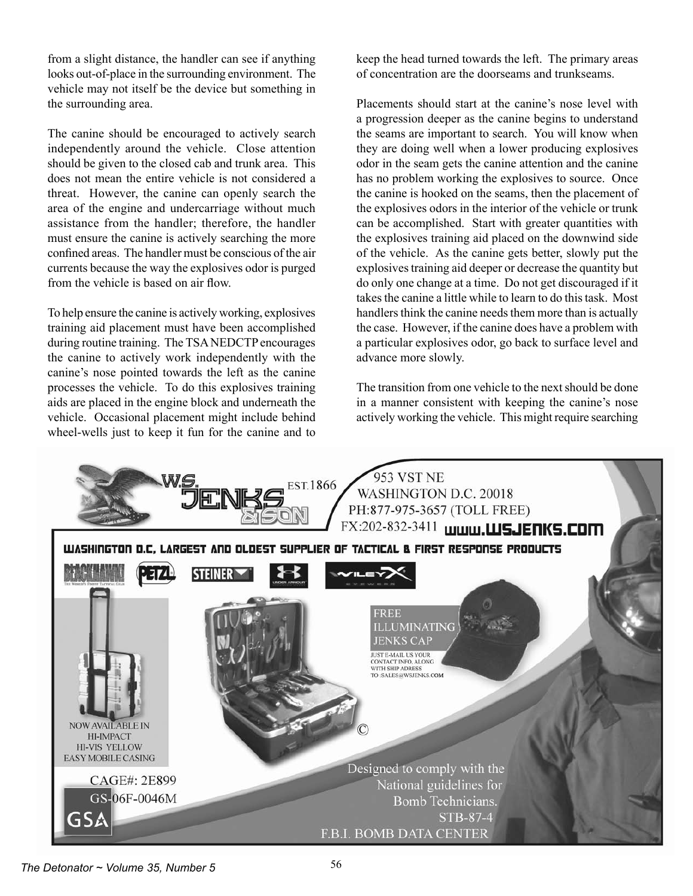from a slight distance, the handler can see if anything looks out-of-place in the surrounding environment. The vehicle may not itself be the device but something in the surrounding area.

The canine should be encouraged to actively search independently around the vehicle. Close attention should be given to the closed cab and trunk area. This does not mean the entire vehicle is not considered a threat. However, the canine can openly search the area of the engine and undercarriage without much assistance from the handler; therefore, the handler must ensure the canine is actively searching the more confined areas. The handler must be conscious of the air currents because the way the explosives odor is purged from the vehicle is based on air flow.

To help ensure the canine is actively working, explosives training aid placement must have been accomplished during routine training. The TSA NEDCTP encourages the canine to actively work independently with the canine's nose pointed towards the left as the canine processes the vehicle. To do this explosives training aids are placed in the engine block and underneath the vehicle. Occasional placement might include behind wheel-wells just to keep it fun for the canine and to

keep the head turned towards the left. The primary areas of concentration are the doorseams and trunkseams.

Placements should start at the canine's nose level with a progression deeper as the canine begins to understand the seams are important to search. You will know when they are doing well when a lower producing explosives odor in the seam gets the canine attention and the canine has no problem working the explosives to source. Once the canine is hooked on the seams, then the placement of the explosives odors in the interior of the vehicle or trunk can be accomplished. Start with greater quantities with the explosives training aid placed on the downwind side of the vehicle. As the canine gets better, slowly put the explosives training aid deeper or decrease the quantity but do only one change at a time. Do not get discouraged if it takes the canine a little while to learn to do this task. Most handlers think the canine needs them more than is actually the case. However, if the canine does have a problem with a particular explosives odor, go back to surface level and advance more slowly.

The transition from one vehicle to the next should be done in a manner consistent with keeping the canine's nose actively working the vehicle. This might require searching



*The Detonator ~ Volume 35, Number 5*  $56$